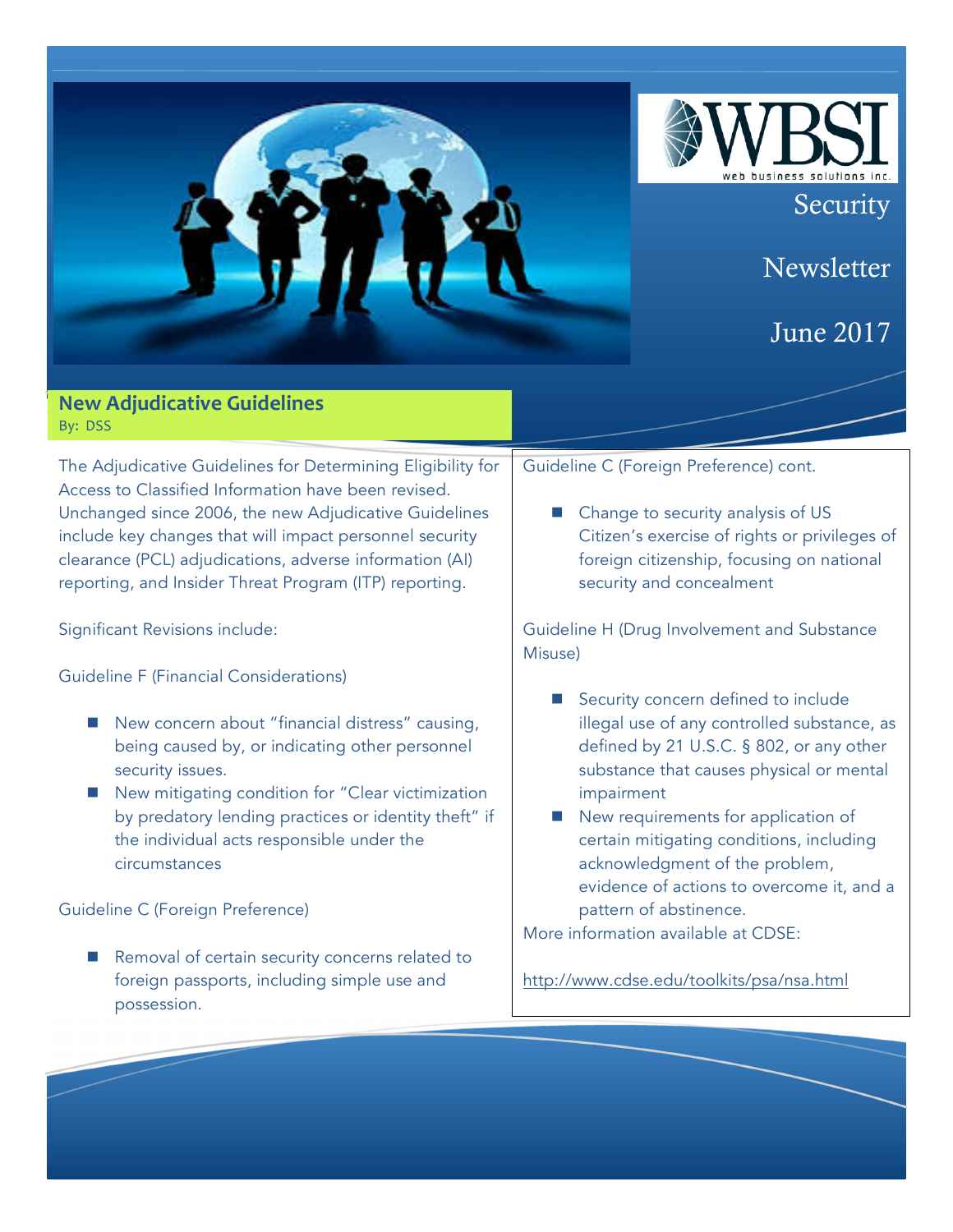

 $\blacksquare$  Removal of certain security concerns related to foreign passports, including simple use and

possession.

More information available at CDSE:

http://www.cdse.edu/toolkits/psa/nsa.html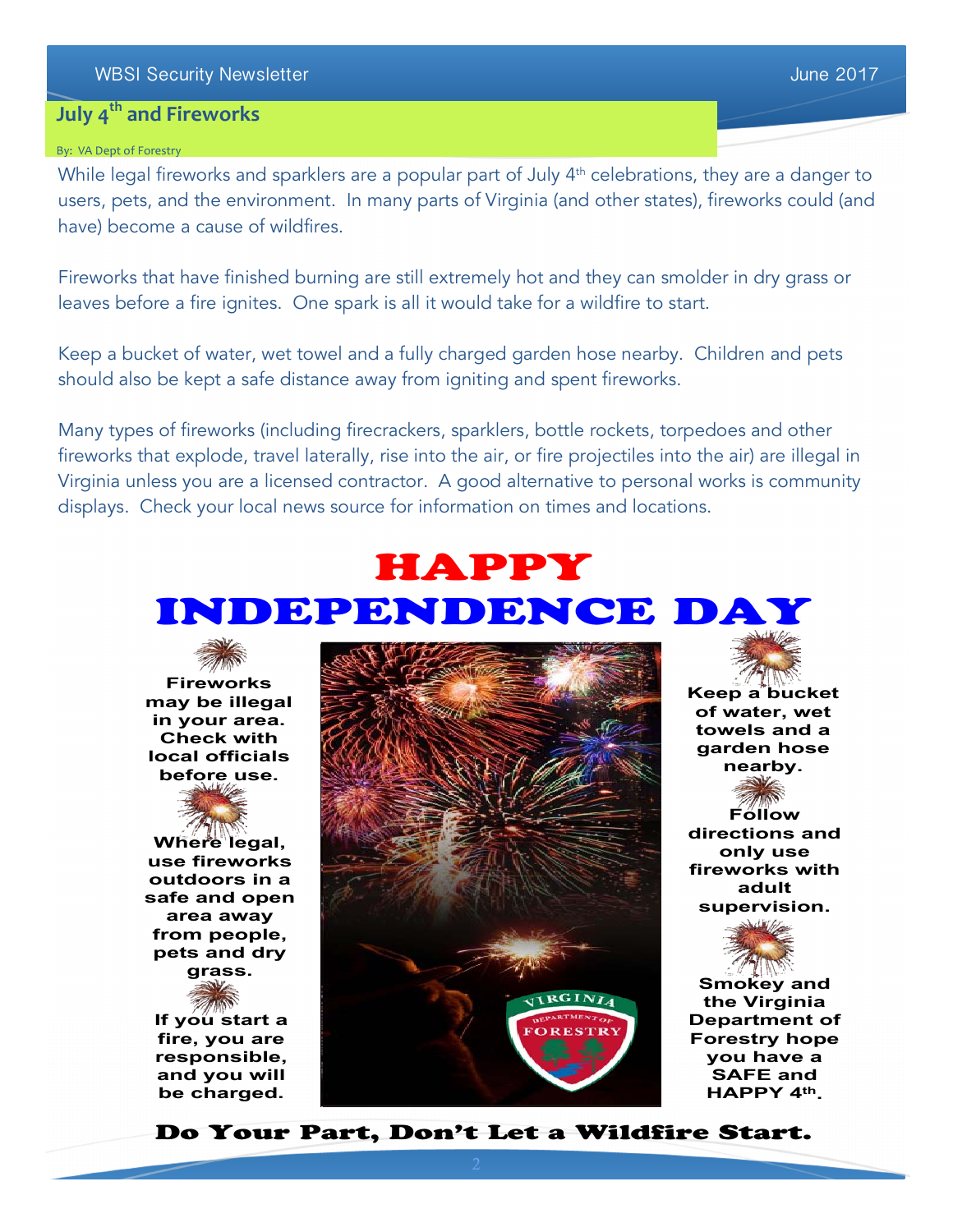## **July 4<sup>th</sup> and Fireworks**

#### By: VA Dept of Forestry

While legal fireworks and sparklers are a popular part of July 4<sup>th</sup> celebrations, they are a danger to users, pets, and the environment. In many parts of Virginia (and other states), fireworks could (and have) become a cause of wildfires.

Fireworks that have finished burning are still extremely hot and they can smolder in dry grass or leaves before a fire ignites. One spark is all it would take for a wildfire to start.

Keep a bucket of water, wet towel and a fully charged garden hose nearby. Children and pets should also be kept a safe distance away from igniting and spent fireworks.

Many types of fireworks (including firecrackers, sparklers, bottle rockets, torpedoes and other fireworks that explode, travel laterally, rise into the air, or fire projectiles into the air) are illegal in Virginia unless you are a licensed contractor. A good alternative to personal works is community displays. Check your local news source for information on times and locations.

# HAPPY



**Where legal, use fireworks outdoors in a safe and open area away from people, pets and dry grass.**

**If you start a fire, you are responsible, and you will** 

**be charged.**



**Keep a bucket of water, wet towels and a garden hose nearby.** 

**Follow directions and only use fireworks with adult supervision.**



**Smokey and the Virginia Department of Forestry hope you have a SAFE and HAPPY 4th.**

Do Your Part, Don't Let a Wildfire Start.